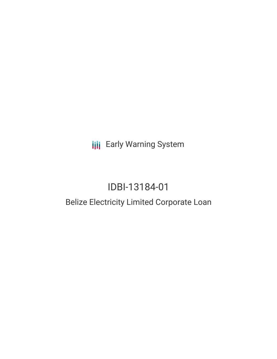**III** Early Warning System

# IDBI-13184-01

## Belize Electricity Limited Corporate Loan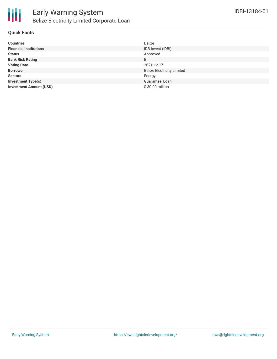

#### **Quick Facts**

| <b>Countries</b>               | <b>Belize</b>                     |
|--------------------------------|-----------------------------------|
| <b>Financial Institutions</b>  | IDB Invest (IDBI)                 |
| <b>Status</b>                  | Approved                          |
| <b>Bank Risk Rating</b>        | B                                 |
| <b>Voting Date</b>             | 2021-12-17                        |
| <b>Borrower</b>                | <b>Belize Electricity Limited</b> |
| <b>Sectors</b>                 | Energy                            |
| <b>Investment Type(s)</b>      | Guarantee, Loan                   |
| <b>Investment Amount (USD)</b> | \$30.00 million                   |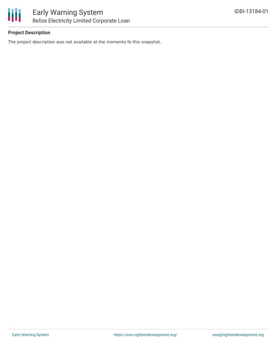

#### **Project Description**

The project description was not available at the momento fo this snapshot.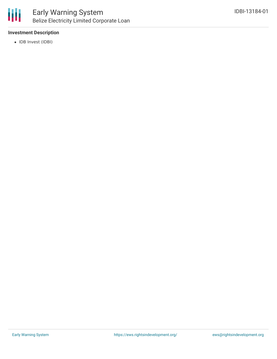

#### **Investment Description**

• IDB Invest (IDBI)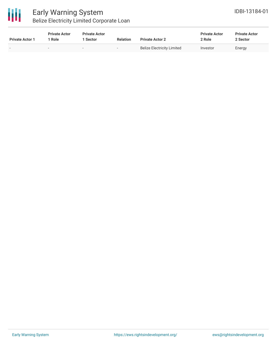

IDBI-13184-01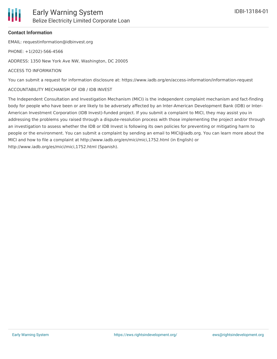#### **Contact Information**

EMAIL: requestinformation@idbinvest.org

PHONE: +1(202)-566-4566

ADDRESS: 1350 New York Ave NW, Washington, DC 20005

#### ACCESS TO INFORMATION

You can submit a request for information disclosure at: https://www.iadb.org/en/access-information/information-request

#### ACCOUNTABILITY MECHANISM OF IDB / IDB INVEST

The Independent Consultation and Investigation Mechanism (MICI) is the independent complaint mechanism and fact-finding body for people who have been or are likely to be adversely affected by an Inter-American Development Bank (IDB) or Inter-American Investment Corporation (IDB Invest)-funded project. If you submit a complaint to MICI, they may assist you in addressing the problems you raised through a dispute-resolution process with those implementing the project and/or through an investigation to assess whether the IDB or IDB Invest is following its own policies for preventing or mitigating harm to people or the environment. You can submit a complaint by sending an email to MICI@iadb.org. You can learn more about the MICI and how to file a complaint at http://www.iadb.org/en/mici/mici,1752.html (in English) or http://www.iadb.org/es/mici/mici,1752.html (Spanish).